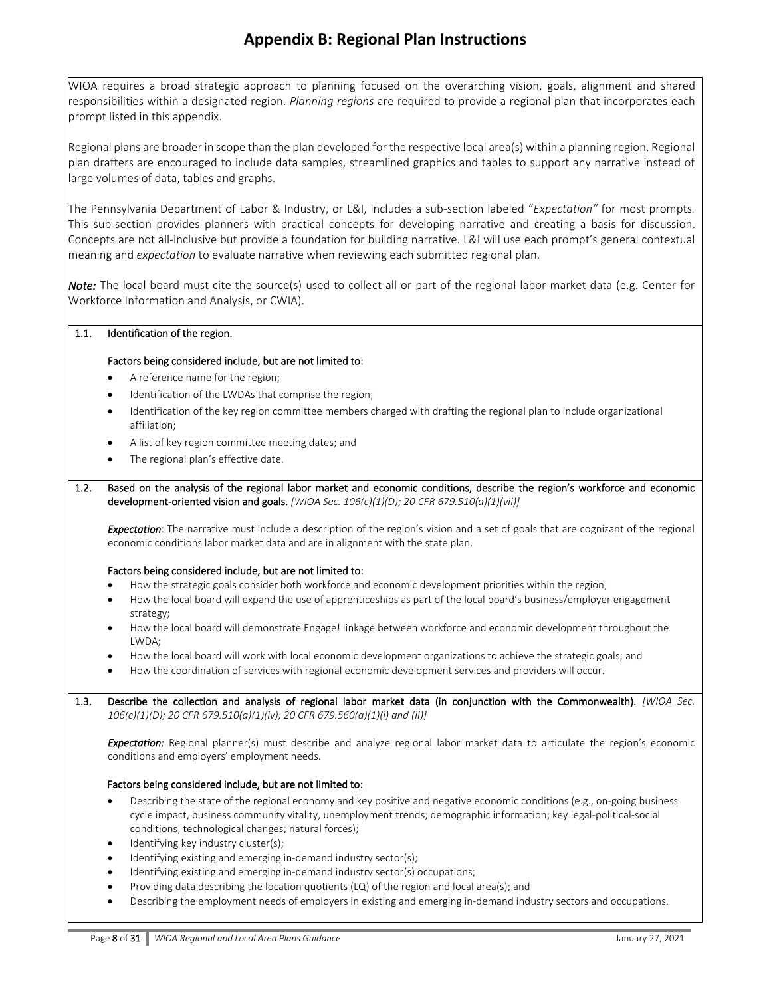## **Appendix B: Regional Plan Instructions**

WIOA requires a broad strategic approach to planning focused on the overarching vision, goals, alignment and shared responsibilities within a designated region. *Planning regions* are required to provide a regional plan that incorporates each prompt listed in this appendix.

Regional plans are broader in scope than the plan developed for the respective local area(s) within a planning region. Regional plan drafters are encouraged to include data samples, streamlined graphics and tables to support any narrative instead of large volumes of data, tables and graphs.

The Pennsylvania Department of Labor & Industry, or L&I, includes a sub-section labeled "*Expectation"* for most prompts*.* This sub-section provides planners with practical concepts for developing narrative and creating a basis for discussion. Concepts are not all-inclusive but provide a foundation for building narrative. L&I will use each prompt's general contextual meaning and *expectation* to evaluate narrative when reviewing each submitted regional plan.

*Note:* The local board must cite the source(s) used to collect all or part of the regional labor market data (e.g. Center for Workforce Information and Analysis, or CWIA).

### 1.1. Identification of the region.

### Factors being considered include, but are not limited to:

- A reference name for the region;
- Identification of the LWDAs that comprise the region;
- Identification of the key region committee members charged with drafting the regional plan to include organizational affiliation;
- A list of key region committee meeting dates; and
- The regional plan's effective date.

1.2. Based on the analysis of the regional labor market and economic conditions, describe the region's workforce and economic development-oriented vision and goals. *[WIOA Sec. 106(c)(1)(D); 20 CFR 679.510(a)(1)(vii)]*

*Expectation*: The narrative must include a description of the region's vision and a set of goals that are cognizant of the regional economic conditions labor market data and are in alignment with the state plan.

### Factors being considered include, but are not limited to:

- How the strategic goals consider both workforce and economic development priorities within the region;
- How the local board will expand the use of apprenticeships as part of the local board's business/employer engagement strategy;
- How the local board will demonstrate Engage! linkage between workforce and economic development throughout the LWDA;
- How the local board will work with local economic development organizations to achieve the strategic goals; and
- How the coordination of services with regional economic development services and providers will occur.

1.3. Describe the collection and analysis of regional labor market data (in conjunction with the Commonwealth). *[WIOA Sec. 106(c)(1)(D); 20 CFR 679.510(a)(1)(iv); 20 CFR 679.560(a)(1)(i) and (ii)]*

*Expectation:* Regional planner(s) must describe and analyze regional labor market data to articulate the region's economic conditions and employers' employment needs.

### Factors being considered include, but are not limited to:

- Describing the state of the regional economy and key positive and negative economic conditions (e.g., on-going business cycle impact, business community vitality, unemployment trends; demographic information; ke[y legal-](http://www.businessdictionary.com/definition/legal.html)political-social conditions; technological changes[; natural forces\)](http://www.businessdictionary.com/definition/natural-forces.html);
- Identifying key industry cluster(s);
- Identifying existing and emerging in-demand industry sector(s);
- Identifying existing and emerging in-demand industry sector(s) occupations;
- Providing data describing the location quotients (LQ) of the region and local area(s); and
- Describing the employment needs of employers in existing and emerging in-demand industry sectors and occupations.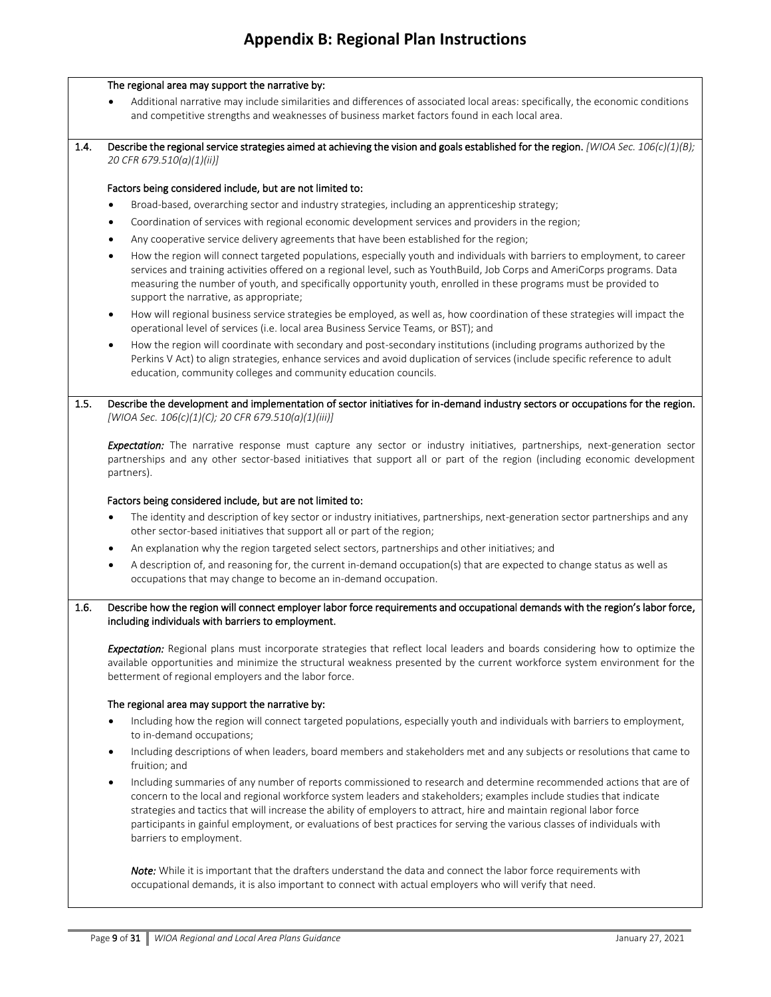# **Appendix B: Regional Plan Instructions**

|      | The regional area may support the narrative by:                                                                                                                                                                                                                                                                                                                                                                                                                                                                                         |
|------|-----------------------------------------------------------------------------------------------------------------------------------------------------------------------------------------------------------------------------------------------------------------------------------------------------------------------------------------------------------------------------------------------------------------------------------------------------------------------------------------------------------------------------------------|
|      | Additional narrative may include similarities and differences of associated local areas: specifically, the economic conditions<br>and competitive strengths and weaknesses of business market factors found in each local area.                                                                                                                                                                                                                                                                                                         |
| 1.4. | Describe the regional service strategies aimed at achieving the vision and goals established for the region. [WIOA Sec. 106(c)(1)(B);<br>20 CFR 679.510(a)(1)(ii)]                                                                                                                                                                                                                                                                                                                                                                      |
|      | Factors being considered include, but are not limited to:                                                                                                                                                                                                                                                                                                                                                                                                                                                                               |
|      | Broad-based, overarching sector and industry strategies, including an apprenticeship strategy;                                                                                                                                                                                                                                                                                                                                                                                                                                          |
|      | Coordination of services with regional economic development services and providers in the region;<br>$\bullet$                                                                                                                                                                                                                                                                                                                                                                                                                          |
|      | Any cooperative service delivery agreements that have been established for the region;<br>$\bullet$                                                                                                                                                                                                                                                                                                                                                                                                                                     |
|      | How the region will connect targeted populations, especially youth and individuals with barriers to employment, to career<br>$\bullet$<br>services and training activities offered on a regional level, such as YouthBuild, Job Corps and AmeriCorps programs. Data<br>measuring the number of youth, and specifically opportunity youth, enrolled in these programs must be provided to<br>support the narrative, as appropriate;                                                                                                      |
|      | How will regional business service strategies be employed, as well as, how coordination of these strategies will impact the<br>$\bullet$<br>operational level of services (i.e. local area Business Service Teams, or BST); and                                                                                                                                                                                                                                                                                                         |
|      | How the region will coordinate with secondary and post-secondary institutions (including programs authorized by the<br>$\bullet$<br>Perkins V Act) to align strategies, enhance services and avoid duplication of services (include specific reference to adult<br>education, community colleges and community education councils.                                                                                                                                                                                                      |
| 1.5. | Describe the development and implementation of sector initiatives for in-demand industry sectors or occupations for the region.<br>[WIOA Sec. 106(c)(1)(C); 20 CFR 679.510(a)(1)(iii)]                                                                                                                                                                                                                                                                                                                                                  |
|      | Expectation: The narrative response must capture any sector or industry initiatives, partnerships, next-generation sector<br>partnerships and any other sector-based initiatives that support all or part of the region (including economic development<br>partners).                                                                                                                                                                                                                                                                   |
|      | Factors being considered include, but are not limited to:                                                                                                                                                                                                                                                                                                                                                                                                                                                                               |
|      | The identity and description of key sector or industry initiatives, partnerships, next-generation sector partnerships and any<br>$\bullet$<br>other sector-based initiatives that support all or part of the region;                                                                                                                                                                                                                                                                                                                    |
|      | An explanation why the region targeted select sectors, partnerships and other initiatives; and<br>$\bullet$                                                                                                                                                                                                                                                                                                                                                                                                                             |
|      | A description of, and reasoning for, the current in-demand occupation(s) that are expected to change status as well as<br>$\bullet$<br>occupations that may change to become an in-demand occupation.                                                                                                                                                                                                                                                                                                                                   |
| 1.6. | Describe how the region will connect employer labor force requirements and occupational demands with the region's labor force,<br>including individuals with barriers to employment.                                                                                                                                                                                                                                                                                                                                                    |
|      | Expectation: Regional plans must incorporate strategies that reflect local leaders and boards considering how to optimize the<br>available opportunities and minimize the structural weakness presented by the current workforce system environment for the<br>betterment of regional employers and the labor force.                                                                                                                                                                                                                    |
|      | The regional area may support the narrative by:                                                                                                                                                                                                                                                                                                                                                                                                                                                                                         |
|      | Including how the region will connect targeted populations, especially youth and individuals with barriers to employment,<br>$\bullet$<br>to in-demand occupations;                                                                                                                                                                                                                                                                                                                                                                     |
|      | Including descriptions of when leaders, board members and stakeholders met and any subjects or resolutions that came to<br>$\bullet$<br>fruition; and                                                                                                                                                                                                                                                                                                                                                                                   |
|      | Including summaries of any number of reports commissioned to research and determine recommended actions that are of<br>$\bullet$<br>concern to the local and regional workforce system leaders and stakeholders; examples include studies that indicate<br>strategies and tactics that will increase the ability of employers to attract, hire and maintain regional labor force<br>participants in gainful employment, or evaluations of best practices for serving the various classes of individuals with<br>barriers to employment. |
|      | Note: While it is important that the drafters understand the data and connect the labor force requirements with<br>occupational demands, it is also important to connect with actual employers who will verify that need.                                                                                                                                                                                                                                                                                                               |